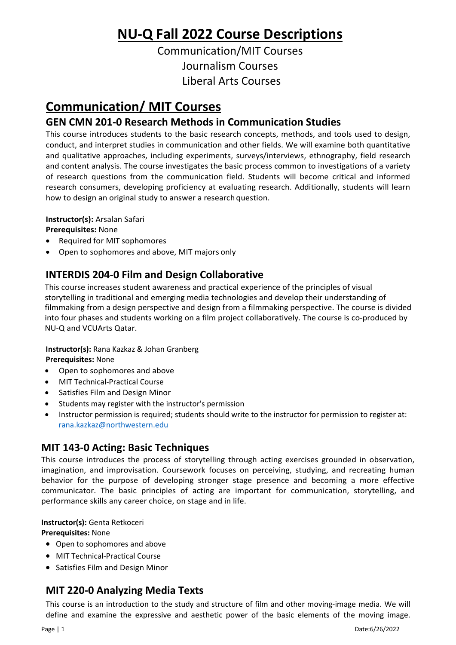# **NU‐Q Fall 2022 Course Descriptions**

Communication/MIT Courses Journalism Courses Liberal Arts Courses

# **Communication/ MIT Courses**

# **GEN CMN 201‐0 Research Methods in Communication Studies**

This course introduces students to the basic research concepts, methods, and tools used to design, conduct, and interpret studies in communication and other fields. We will examine both quantitative and qualitative approaches, including experiments, surveys/interviews, ethnography, field research and content analysis. The course investigates the basic process common to investigations of a variety of research questions from the communication field. Students will become critical and informed research consumers, developing proficiency at evaluating research. Additionally, students will learn how to design an original study to answer a research question.

**Instructor(s):** Arsalan Safari

**Prerequisites:** None

- Required for MIT sophomores
- Open to sophomores and above, MIT majors only

# **INTERDIS 204-0 Film and Design Collaborative**

This course increases student awareness and practical experience of the principles of visual storytelling in traditional and emerging media technologies and develop their understanding of filmmaking from a design perspective and design from a filmmaking perspective. The course is divided into four phases and students working on a film project collaboratively. The course is co-produced by NU-Q and VCUArts Qatar.

**Instructor(s):** Rana Kazkaz & Johan Granberg **Prerequisites:** None

- Open to sophomores and above
- MIT Technical-Practical Course
- Satisfies Film and Design Minor
- Students may register with the instructor's permission
- Instructor permission is required; students should write to the instructor for permission to register at: [rana.kazkaz@northwestern.edu](mailto:rana.kazkaz@northwestern.edu)

### **MIT 143-0 Acting: Basic Techniques**

This course introduces the process of storytelling through acting exercises grounded in observation, imagination, and improvisation. Coursework focuses on perceiving, studying, and recreating human behavior for the purpose of developing stronger stage presence and becoming a more effective communicator. The basic principles of acting are important for communication, storytelling, and performance skills any career choice, on stage and in life.

**Instructor(s):** Genta Retkoceri

#### **Prerequisites:** None

- Open to sophomores and above
- MIT Technical-Practical Course
- Satisfies Film and Design Minor

# **MIT 220‐0 Analyzing Media Texts**

This course is an introduction to the study and structure of film and other moving-image media. We will define and examine the expressive and aesthetic power of the basic elements of the moving image.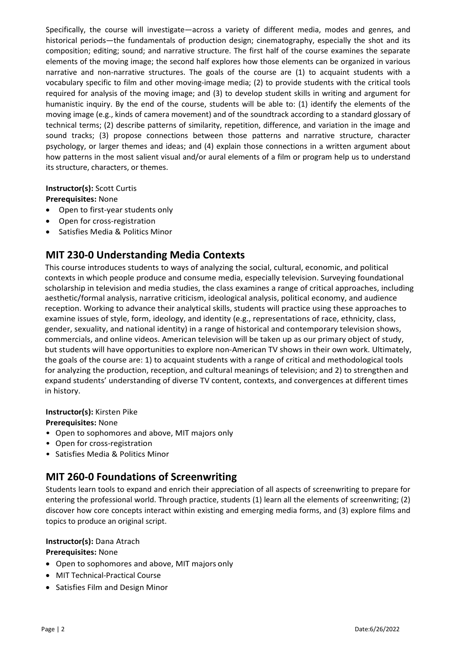Specifically, the course will investigate—across a variety of different media, modes and genres, and historical periods—the fundamentals of production design; cinematography, especially the shot and its composition; editing; sound; and narrative structure. The first half of the course examines the separate elements of the moving image; the second half explores how those elements can be organized in various narrative and non-narrative structures. The goals of the course are (1) to acquaint students with a vocabulary specific to film and other moving-image media; (2) to provide students with the critical tools required for analysis of the moving image; and (3) to develop student skills in writing and argument for humanistic inquiry. By the end of the course, students will be able to: (1) identify the elements of the moving image (e.g., kinds of camera movement) and of the soundtrack according to a standard glossary of technical terms; (2) describe patterns of similarity, repetition, difference, and variation in the image and sound tracks; (3) propose connections between those patterns and narrative structure, character psychology, or larger themes and ideas; and (4) explain those connections in a written argument about how patterns in the most salient visual and/or aural elements of a film or program help us to understand its structure, characters, or themes.

#### **Instructor(s):** Scott Curtis

**Prerequisites:** None

- Open to first-year students only
- Open for cross-registration
- Satisfies Media & Politics Minor

### **MIT 230-0 Understanding Media Contexts**

This course introduces students to ways of analyzing the social, cultural, economic, and political contexts in which people produce and consume media, especially television. Surveying foundational scholarship in television and media studies, the class examines a range of critical approaches, including aesthetic/formal analysis, narrative criticism, ideological analysis, political economy, and audience reception. Working to advance their analytical skills, students will practice using these approaches to examine issues of style, form, ideology, and identity (e.g., representations of race, ethnicity, class, gender, sexuality, and national identity) in a range of historical and contemporary television shows, commercials, and online videos. American television will be taken up as our primary object of study, but students will have opportunities to explore non-American TV shows in their own work. Ultimately, the goals of the course are: 1) to acquaint students with a range of critical and methodological tools for analyzing the production, reception, and cultural meanings of television; and 2) to strengthen and expand students' understanding of diverse TV content, contexts, and convergences at different times in history.

#### **Instructor(s):** Kirsten Pike

#### **Prerequisites:** None

- Open to sophomores and above, MIT majors only
- Open for cross-registration
- Satisfies Media & Politics Minor

### **MIT 260‐0 Foundations of Screenwriting**

Students learn tools to expand and enrich their appreciation of all aspects of screenwriting to prepare for entering the professional world. Through practice, students (1) learn all the elements of screenwriting; (2) discover how core concepts interact within existing and emerging media forms, and (3) explore films and topics to produce an original script.

#### **Instructor(s):** Dana Atrach

#### **Prerequisites:** None

- Open to sophomores and above, MIT majors only
- MIT Technical-Practical Course
- Satisfies Film and Design Minor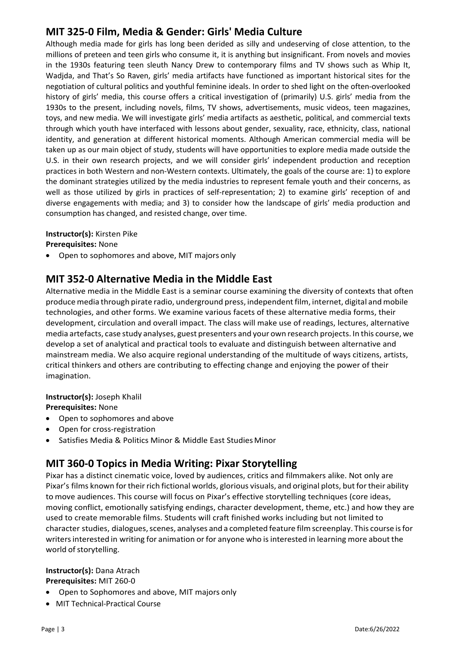# **MIT 325‐0 Film, Media & Gender: Girls' Media Culture**

Although media made for girls has long been derided as silly and undeserving of close attention, to the millions of preteen and teen girls who consume it, it is anything but insignificant. From novels and movies in the 1930s featuring teen sleuth Nancy Drew to contemporary films and TV shows such as Whip It, Wadjda, and That's So Raven, girls' media artifacts have functioned as important historical sites for the negotiation of cultural politics and youthful feminine ideals. In order to shed light on the often-overlooked history of girls' media, this course offers a critical investigation of (primarily) U.S. girls' media from the 1930s to the present, including novels, films, TV shows, advertisements, music videos, teen magazines, toys, and new media. We will investigate girls' media artifacts as aesthetic, political, and commercial texts through which youth have interfaced with lessons about gender, sexuality, race, ethnicity, class, national identity, and generation at different historical moments. Although American commercial media will be taken up as our main object of study, students will have opportunities to explore media made outside the U.S. in their own research projects, and we will consider girls' independent production and reception practices in both Western and non-Western contexts. Ultimately, the goals of the course are: 1) to explore the dominant strategies utilized by the media industries to represent female youth and their concerns, as well as those utilized by girls in practices of self-representation; 2) to examine girls' reception of and diverse engagements with media; and 3) to consider how the landscape of girls' media production and consumption has changed, and resisted change, over time.

#### **Instructor(s):** Kirsten Pike

**Prerequisites:** None

• Open to sophomores and above, MIT majors only

### **MIT 352‐0 Alternative Media in the Middle East**

Alternative media in the Middle East is a seminar course examining the diversity of contexts that often produce media through pirate radio, underground press, independent film, internet, digital and mobile technologies, and other forms. We examine various facets of these alternative media forms, their development, circulation and overall impact. The class will make use of readings, lectures, alternative media artefacts, case study analyses, guest presenters and your own research projects. In this course, we develop a set of analytical and practical tools to evaluate and distinguish between alternative and mainstream media. We also acquire regional understanding of the multitude of ways citizens, artists, critical thinkers and others are contributing to effecting change and enjoying the power of their imagination.

#### **Instructor(s):** Joseph Khalil

**Prerequisites:** None

- Open to sophomores and above
- Open for cross-registration
- Satisfies Media & Politics Minor & Middle East Studies Minor

# **MIT 360‐0 Topics in Media Writing: Pixar Storytelling**

Pixar has a distinct cinematic voice, loved by audiences, critics and filmmakers alike. Not only are Pixar's films known for their rich fictional worlds, glorious visuals, and original plots, but for their ability to move audiences. This course will focus on Pixar's effective storytelling techniques (core ideas, moving conflict, emotionally satisfying endings, character development, theme, etc.) and how they are used to create memorable films. Students will craft finished works including but not limited to character studies, dialogues, scenes, analyses and a completed feature film screenplay. This course is for writers interested in writing for animation or for anyone who is interested in learning more about the world of storytelling.

### **Instructor(s):** Dana Atrach

**Prerequisites:** MIT 260-0

- Open to Sophomores and above, MIT majors only
- MIT Technical-Practical Course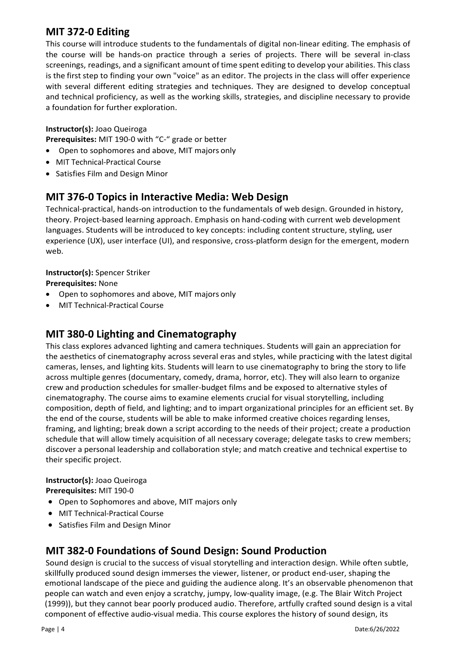# **MIT 372‐0 Editing**

This course will introduce students to the fundamentals of digital non-linear editing. The emphasis of the course will be hands-on practice through a series of projects. There will be several in-class screenings, readings, and a significant amount of time spent editing to develop your abilities. This class is the first step to finding your own "voice" as an editor. The projects in the class will offer experience with several different editing strategies and techniques. They are designed to develop conceptual and technical proficiency, as well as the working skills, strategies, and discipline necessary to provide a foundation for further exploration.

#### **Instructor(s):** Joao Queiroga

**Prerequisites:** MIT 190-0 with "C-" grade or better

- Open to sophomores and above, MIT majors only
- MIT Technical-Practical Course
- Satisfies Film and Design Minor

# **MIT 376‐0 Topics in Interactive Media: Web Design**

Technical-practical, hands-on introduction to the fundamentals of web design. Grounded in history, theory. Project-based learning approach. Emphasis on hand-coding with current web development languages. Students will be introduced to key concepts: including content structure, styling, user experience (UX), user interface (UI), and responsive, cross-platform design for the emergent, modern web.

#### **Instructor(s):** Spencer Striker

**Prerequisites:** None

- Open to sophomores and above, MIT majors only
- MIT Technical-Practical Course

# **MIT 380‐0 Lighting and Cinematography**

This class explores advanced lighting and camera techniques. Students will gain an appreciation for the aesthetics of cinematography across several eras and styles, while practicing with the latest digital cameras, lenses, and lighting kits. Students will learn to use cinematography to bring the story to life across multiple genres (documentary, comedy, drama, horror, etc). They will also learn to organize crew and production schedules for smaller-budget films and be exposed to alternative styles of cinematography. The course aims to examine elements crucial for visual storytelling, including composition, depth of field, and lighting; and to impart organizational principles for an efficient set. By the end of the course, students will be able to make informed creative choices regarding lenses, framing, and lighting; break down a script according to the needs of their project; create a production schedule that will allow timely acquisition of all necessary coverage; delegate tasks to crew members; discover a personal leadership and collaboration style; and match creative and technical expertise to their specific project.

#### **Instructor(s):** Joao Queiroga **Prerequisites:** MIT 190-0

- Open to Sophomores and above, MIT majors only
- MIT Technical-Practical Course
- Satisfies Film and Design Minor

### **MIT 382-0 Foundations of Sound Design: Sound Production**

Sound design is crucial to the success of visual storytelling and interaction design. While often subtle, skillfully produced sound design immerses the viewer, listener, or product end-user, shaping the emotional landscape of the piece and guiding the audience along. It's an observable phenomenon that people can watch and even enjoy a scratchy, jumpy, low-quality image, (e.g. The Blair Witch Project (1999)), but they cannot bear poorly produced audio. Therefore, artfully crafted sound design is a vital component of effective audio-visual media. This course explores the history of sound design, its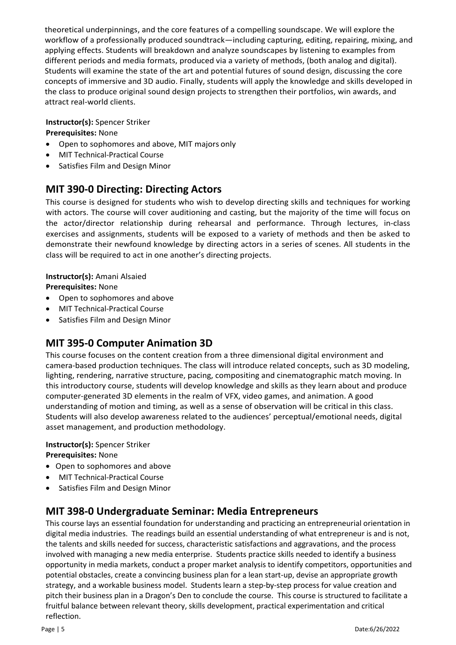theoretical underpinnings, and the core features of a compelling soundscape. We will explore the workflow of a professionally produced soundtrack—including capturing, editing, repairing, mixing, and applying effects. Students will breakdown and analyze soundscapes by listening to examples from different periods and media formats, produced via a variety of methods, (both analog and digital). Students will examine the state of the art and potential futures of sound design, discussing the core concepts of immersive and 3D audio. Finally, students will apply the knowledge and skills developed in the class to produce original sound design projects to strengthen their portfolios, win awards, and attract real-world clients.

#### **Instructor(s):** Spencer Striker

**Prerequisites:** None

- Open to sophomores and above, MIT majors only
- MIT Technical-Practical Course
- Satisfies Film and Design Minor

### **MIT 390-0 Directing: Directing Actors**

This course is designed for students who wish to develop directing skills and techniques for working with actors. The course will cover auditioning and casting, but the majority of the time will focus on the actor/director relationship during rehearsal and performance. Through lectures, in-class exercises and assignments, students will be exposed to a variety of methods and then be asked to demonstrate their newfound knowledge by directing actors in a series of scenes. All students in the class will be required to act in one another's directing projects.

#### **Instructor(s):** Amani Alsaied

**Prerequisites:** None

- Open to sophomores and above
- MIT Technical-Practical Course
- Satisfies Film and Design Minor

### **MIT 395‐0 Computer Animation 3D**

This course focuses on the content creation from a three dimensional digital environment and camera-based production techniques. The class will introduce related concepts, such as 3D modeling, lighting, rendering, narrative structure, pacing, compositing and cinematographic match moving. In this introductory course, students will develop knowledge and skills as they learn about and produce computer-generated 3D elements in the realm of VFX, video games, and animation. A good understanding of motion and timing, as well as a sense of observation will be critical in this class. Students will also develop awareness related to the audiences' perceptual/emotional needs, digital asset management, and production methodology.

#### **Instructor(s):** Spencer Striker

**Prerequisites:** None

- Open to sophomores and above
- MIT Technical-Practical Course
- Satisfies Film and Design Minor

### **MIT 398-0 Undergraduate Seminar: Media Entrepreneurs**

This course lays an essential foundation for understanding and practicing an entrepreneurial orientation in digital media industries. The readings build an essential understanding of what entrepreneur is and is not, the talents and skills needed for success, characteristic satisfactions and aggravations, and the process involved with managing a new media enterprise. Students practice skills needed to identify a business opportunity in media markets, conduct a proper market analysis to identify competitors, opportunities and potential obstacles, create a convincing business plan for a lean start-up, devise an appropriate growth strategy, and a workable business model. Students learn a step-by-step process for value creation and pitch their business plan in a Dragon's Den to conclude the course. This course is structured to facilitate a fruitful balance between relevant theory, skills development, practical experimentation and critical reflection.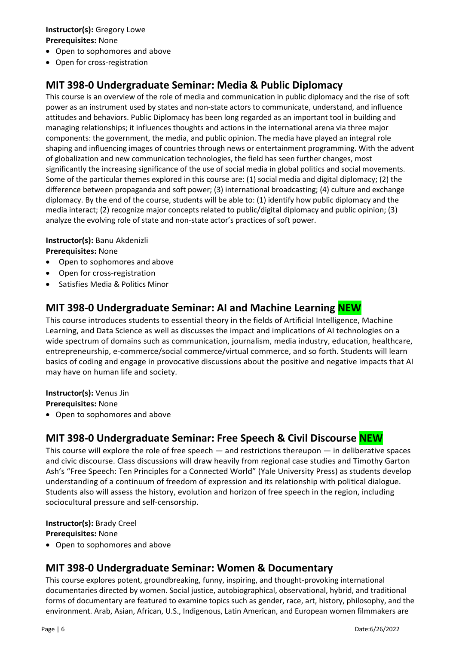#### **Instructor(s):** Gregory Lowe **Prerequisites:** None

- Open to sophomores and above
- Open for cross-registration

# **MIT 398‐0 Undergraduate Seminar: Media & Public Diplomacy**

This course is an overview of the role of media and communication in public diplomacy and the rise of soft power as an instrument used by states and non-state actors to communicate, understand, and influence attitudes and behaviors. Public Diplomacy has been long regarded as an important tool in building and managing relationships; it influences thoughts and actions in the international arena via three major components: the government, the media, and public opinion. The media have played an integral role shaping and influencing images of countries through news or entertainment programming. With the advent of globalization and new communication technologies, the field has seen further changes, most significantly the increasing significance of the use of social media in global politics and social movements. Some of the particular themes explored in this course are: (1) social media and digital diplomacy; (2) the difference between propaganda and soft power; (3) international broadcasting; (4) culture and exchange diplomacy. By the end of the course, students will be able to: (1) identify how public diplomacy and the media interact; (2) recognize major concepts related to public/digital diplomacy and public opinion; (3) analyze the evolving role of state and non-state actor's practices of soft power.

#### **Instructor(s):** Banu Akdenizli

**Prerequisites:** None

- Open to sophomores and above
- Open for cross-registration
- Satisfies Media & Politics Minor

# **MIT 398‐0 Undergraduate Seminar: AI and Machine Learning NEW**

This course introduces students to essential theory in the fields of Artificial Intelligence, Machine Learning, and Data Science as well as discusses the impact and implications of AI technologies on a wide spectrum of domains such as communication, journalism, media industry, education, healthcare, entrepreneurship, e-commerce/social commerce/virtual commerce, and so forth. Students will learn basics of coding and engage in provocative discussions about the positive and negative impacts that AI may have on human life and society.

**Instructor(s):** Venus Jin

**Prerequisites:** None

• Open to sophomores and above

# **MIT 398‐0 Undergraduate Seminar: Free Speech & Civil Discourse NEW**

This course will explore the role of free speech  $-$  and restrictions thereupon  $-$  in deliberative spaces and civic discourse. Class discussions will draw heavily from regional case studies and Timothy Garton Ash's "Free Speech: Ten Principles for a Connected World" (Yale University Press) as students develop understanding of a continuum of freedom of expression and its relationship with political dialogue. Students also will assess the history, evolution and horizon of free speech in the region, including sociocultural pressure and self-censorship.

**Instructor(s):** Brady Creel **Prerequisites:** None

• Open to sophomores and above

# **MIT 398-0 Undergraduate Seminar: Women & Documentary**

This course explores potent, groundbreaking, funny, inspiring, and thought-provoking international documentaries directed by women. Social justice, autobiographical, observational, hybrid, and traditional forms of documentary are featured to examine topics such as gender, race, art, history, philosophy, and the environment. Arab, Asian, African, U.S., Indigenous, Latin American, and European women filmmakers are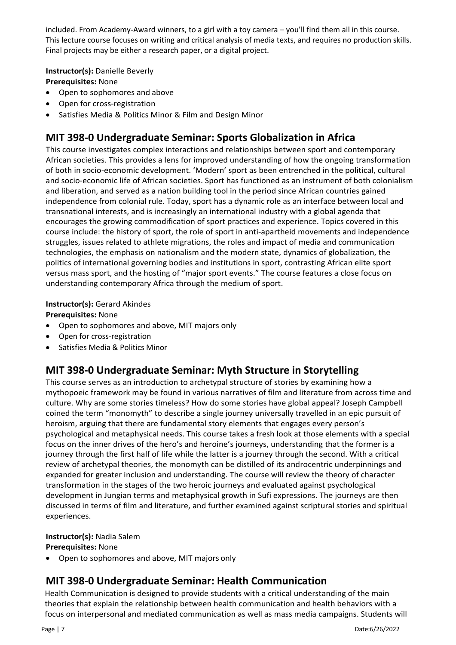included. From Academy-Award winners, to a girl with a toy camera – you'll find them all in this course. This lecture course focuses on writing and critical analysis of media texts, and requires no production skills. Final projects may be either a research paper, or a digital project.

#### **Instructor(s):** Danielle Beverly

**Prerequisites:** None

- Open to sophomores and above
- Open for cross-registration
- Satisfies Media & Politics Minor & Film and Design Minor

# **MIT 398‐0 Undergraduate Seminar: Sports Globalization in Africa**

This course investigates complex interactions and relationships between sport and contemporary African societies. This provides a lens for improved understanding of how the ongoing transformation of both in socio-economic development. 'Modern' sport as been entrenched in the political, cultural and socio-economic life of African societies. Sport has functioned as an instrument of both colonialism and liberation, and served as a nation building tool in the period since African countries gained independence from colonial rule. Today, sport has a dynamic role as an interface between local and transnational interests, and is increasingly an international industry with a global agenda that encourages the growing commodification of sport practices and experience. Topics covered in this course include: the history of sport, the role of sport in anti-apartheid movements and independence struggles, issues related to athlete migrations, the roles and impact of media and communication technologies, the emphasis on nationalism and the modern state, dynamics of globalization, the politics of international governing bodies and institutions in sport, contrasting African elite sport versus mass sport, and the hosting of "major sport events." The course features a close focus on understanding contemporary Africa through the medium of sport.

#### **Instructor(s):** Gerard Akindes

#### **Prerequisites:** None

- Open to sophomores and above, MIT majors only
- Open for cross-registration
- Satisfies Media & Politics Minor

### **MIT 398‐0 Undergraduate Seminar: Myth Structure in Storytelling**

This course serves as an introduction to archetypal structure of stories by examining how a mythopoeic framework may be found in various narratives of film and literature from across time and culture. Why are some stories timeless? How do some stories have global appeal? Joseph Campbell coined the term "monomyth" to describe a single journey universally travelled in an epic pursuit of heroism, arguing that there are fundamental story elements that engages every person's psychological and metaphysical needs. This course takes a fresh look at those elements with a special focus on the inner drives of the hero's and heroine's journeys, understanding that the former is a journey through the first half of life while the latter is a journey through the second. With a critical review of archetypal theories, the monomyth can be distilled of its androcentric underpinnings and expanded for greater inclusion and understanding. The course will review the theory of character transformation in the stages of the two heroic journeys and evaluated against psychological development in Jungian terms and metaphysical growth in Sufi expressions. The journeys are then discussed in terms of film and literature, and further examined against scriptural stories and spiritual experiences.

#### **Instructor(s):** Nadia Salem

#### **Prerequisites:** None

• Open to sophomores and above, MIT majors only

# **MIT 398‐0 Undergraduate Seminar: Health Communication**

Health Communication is designed to provide students with a critical understanding of the main theories that explain the relationship between health communication and health behaviors with a focus on interpersonal and mediated communication as well as mass media campaigns. Students will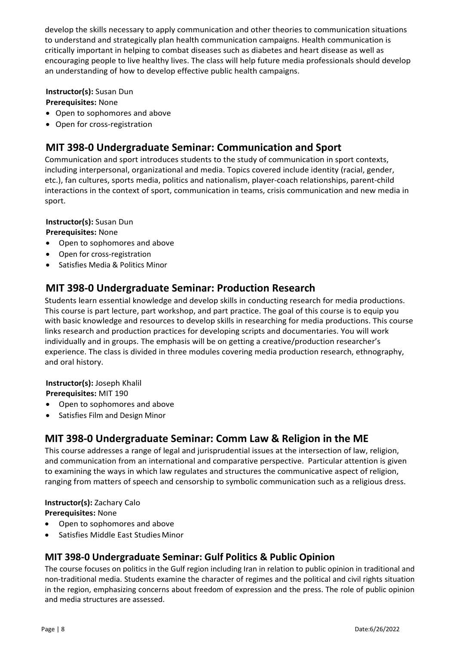develop the skills necessary to apply communication and other theories to communication situations to understand and strategically plan health communication campaigns. Health communication is critically important in helping to combat diseases such as diabetes and heart disease as well as encouraging people to live healthy lives. The class will help future media professionals should develop an understanding of how to develop effective public health campaigns.

**Instructor(s):** Susan Dun

**Prerequisites:** None

- Open to sophomores and above
- Open for cross-registration

### **MIT 398‐0 Undergraduate Seminar: Communication and Sport**

Communication and sport introduces students to the study of communication in sport contexts, including interpersonal, organizational and media. Topics covered include identity (racial, gender, etc.), fan cultures, sports media, politics and nationalism, player-coach relationships, parent-child interactions in the context of sport, communication in teams, crisis communication and new media in sport.

#### **Instructor(s):** Susan Dun

**Prerequisites:** None

- Open to sophomores and above
- Open for cross-registration
- Satisfies Media & Politics Minor

### **MIT 398‐0 Undergraduate Seminar: Production Research**

Students learn essential knowledge and develop skills in conducting research for media productions. This course is part lecture, part workshop, and part practice. The goal of this course is to equip you with basic knowledge and resources to develop skills in researching for media productions. This course links research and production practices for developing scripts and documentaries. You will work individually and in groups. The emphasis will be on getting a creative/production researcher's experience. The class is divided in three modules covering media production research, ethnography, and oral history.

**Instructor(s):** Joseph Khalil

**Prerequisites:** MIT 190

- Open to sophomores and above
- Satisfies Film and Design Minor

# **MIT 398‐0 Undergraduate Seminar: Comm Law & Religion in the ME**

This course addresses a range of legal and jurisprudential issues at the intersection of law, religion, and communication from an international and comparative perspective. Particular attention is given to examining the ways in which law regulates and structures the communicative aspect of religion, ranging from matters of speech and censorship to symbolic communication such as a religious dress.

#### **Instructor(s):** Zachary Calo

**Prerequisites:** None

- Open to sophomores and above
- Satisfies Middle East Studies Minor

### **MIT 398-0 Undergraduate Seminar: Gulf Politics & Public Opinion**

The course focuses on politics in the Gulf region including Iran in relation to public opinion in traditional and non-traditional media. Students examine the character of regimes and the political and civil rights situation in the region, emphasizing concerns about freedom of expression and the press. The role of public opinion and media structures are assessed.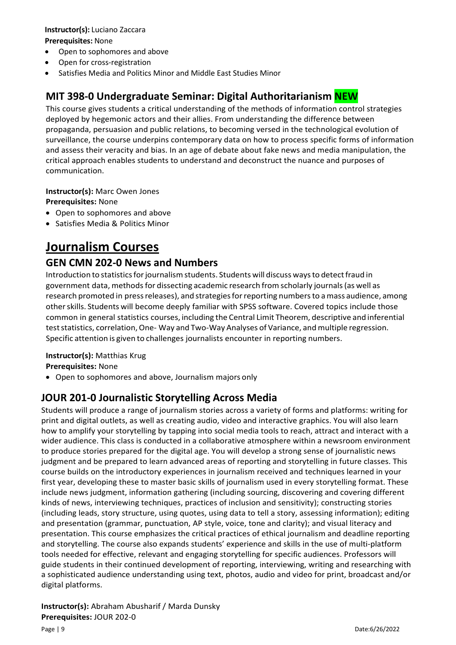#### **Instructor(s):** Luciano Zaccara **Prerequisites:** None

- Open to sophomores and above
- Open for cross-registration
- Satisfies Media and Politics Minor and Middle East Studies Minor

# **MIT 398‐0 Undergraduate Seminar: Digital Authoritarianism NEW**

This course gives students a critical understanding of the methods of information control strategies deployed by hegemonic actors and their allies. From understanding the difference between propaganda, persuasion and public relations, to becoming versed in the technological evolution of surveillance, the course underpins contemporary data on how to process specific forms of information and assess their veracity and bias. In an age of debate about fake news and media manipulation, the critical approach enables students to understand and deconstruct the nuance and purposes of communication.

**Instructor(s):** Marc Owen Jones

**Prerequisites:** None

- Open to sophomores and above
- Satisfies Media & Politics Minor

# **Journalism Courses**

### **GEN CMN 202‐0 News and Numbers**

Introduction to statistics for journalism students. Students will discuss ways to detect fraud in government data, methods for dissecting academic research from scholarly journals (as well as research promoted in press releases), and strategiesforreporting numbers to a mass audience, among other skills. Students will become deeply familiar with SPSS software. Covered topics include those common in general statistics courses, including the Central Limit Theorem, descriptive and inferential test statistics, correlation, One- Way and Two-Way Analyses of Variance, and multiple regression. Specific attention is given to challenges journalists encounter in reporting numbers.

**Instructor(s):** Matthias Krug **Prerequisites:** None

• Open to sophomores and above, Journalism majors only

# **JOUR 201‐0 Journalistic Storytelling Across Media**

Students will produce a range of journalism stories across a variety of forms and platforms: writing for print and digital outlets, as well as creating audio, video and interactive graphics. You will also learn how to amplify your storytelling by tapping into social media tools to reach, attract and interact with a wider audience. This class is conducted in a collaborative atmosphere within a newsroom environment to produce stories prepared for the digital age. You will develop a strong sense of journalistic news judgment and be prepared to learn advanced areas of reporting and storytelling in future classes. This course builds on the introductory experiences in journalism received and techniques learned in your first year, developing these to master basic skills of journalism used in every storytelling format. These include news judgment, information gathering (including sourcing, discovering and covering different kinds of news, interviewing techniques, practices of inclusion and sensitivity); constructing stories (including leads, story structure, using quotes, using data to tell a story, assessing information); editing and presentation (grammar, punctuation, AP style, voice, tone and clarity); and visual literacy and presentation. This course emphasizes the critical practices of ethical journalism and deadline reporting and storytelling. The course also expands students' experience and skills in the use of multi-platform tools needed for effective, relevant and engaging storytelling for specific audiences. Professors will guide students in their continued development of reporting, interviewing, writing and researching with a sophisticated audience understanding using text, photos, audio and video for print, broadcast and/or digital platforms.

### **Instructor(s):** Abraham Abusharif / Marda Dunsky **Prerequisites:** JOUR 202-0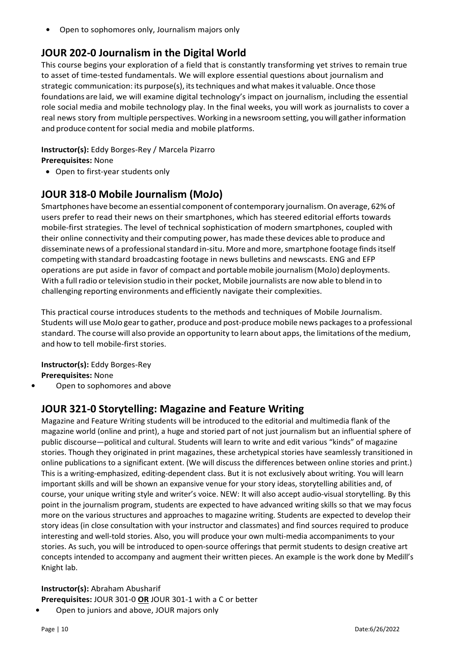**•** Open to sophomores only, Journalism majors only

## **JOUR 202‐0 Journalism in the Digital World**

This course begins your exploration of a field that is constantly transforming yet strives to remain true to asset of time-tested fundamentals. We will explore essential questions about journalism and strategic communication: its purpose(s), its techniques and what makes it valuable. Once those foundations are laid, we will examine digital technology's impact on journalism, including the essential role social media and mobile technology play. In the final weeks, you will work as journalists to cover a real news story from multiple perspectives. Working in a newsroomsetting, youwill gatherinformation and produce content for social media and mobile platforms.

#### **Instructor(s):** Eddy Borges-Rey / Marcela Pizarro

**Prerequisites:** None

• Open to first-year students only

### **JOUR 318‐0 Mobile Journalism (MoJo)**

Smartphones have become an essential component of contemporary journalism.On average, 62%of users prefer to read their news on their smartphones, which has steered editorial efforts towards mobile-first strategies. The level of technical sophistication of modern smartphones, coupled with their online connectivity and their computing power, has made these devices able to produce and disseminate news of a professional standard in-situ. More and more, smartphone footage finds itself competing with standard broadcasting footage in news bulletins and newscasts. ENG and EFP operations are put aside in favor of compact and portable mobile journalism(MoJo) deployments. With a full radio or television studio in their pocket, Mobile journalists are now able to blend in to challenging reporting environments and efficiently navigate their complexities.

This practical course introduces students to the methods and techniques of Mobile Journalism. Students will use MoJo gearto gather, produce and post-produce mobile news packagesto a professional standard. The course will also provide an opportunity to learn about apps, the limitations ofthe medium, and how to tell mobile-first stories.

**Instructor(s):** Eddy Borges-Rey **Prerequisites:** None

**•** Open to sophomores and above

# **JOUR 321‐0 Storytelling: Magazine and Feature Writing**

Magazine and Feature Writing students will be introduced to the editorial and multimedia flank of the magazine world (online and print), a huge and storied part of not just journalism but an influential sphere of public discourse—political and cultural. Students will learn to write and edit various "kinds" of magazine stories. Though they originated in print magazines, these archetypical stories have seamlessly transitioned in online publications to a significant extent. (We will discuss the differences between online stories and print.) This is a writing-emphasized, editing-dependent class. But it is not exclusively about writing. You will learn important skills and will be shown an expansive venue for your story ideas, storytelling abilities and, of course, your unique writing style and writer's voice. NEW: It will also accept audio-visual storytelling. By this point in the journalism program, students are expected to have advanced writing skills so that we may focus more on the various structures and approaches to magazine writing. Students are expected to develop their story ideas (in close consultation with your instructor and classmates) and find sources required to produce interesting and well-told stories. Also, you will produce your own multi-media accompaniments to your stories. As such, you will be introduced to open-source offerings that permit students to design creative art concepts intended to accompany and augment their written pieces. An example is the work done by Medill's Knight lab.

# **Instructor(s):** Abraham Abusharif

**Prerequisites:** JOUR 301-0 **OR** JOUR 301-1 with a C or better

**•** Open to juniors and above, JOUR majors only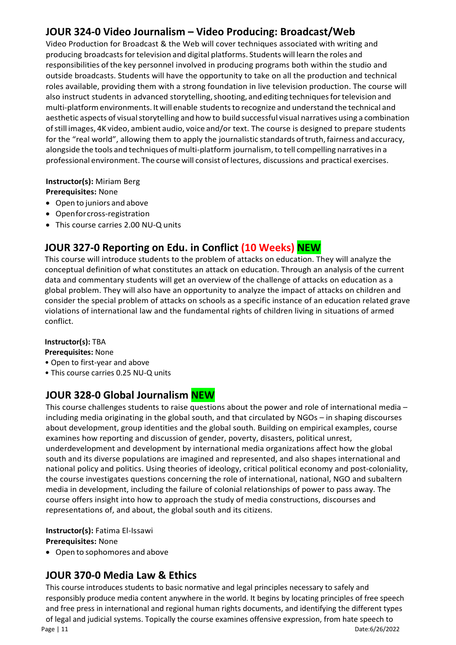# **JOUR 324‐0 Video Journalism – Video Producing: Broadcast/Web**

Video Production for Broadcast & the Web will cover techniques associated with writing and producing broadcasts for television and digital platforms. Students will learn the roles and responsibilities of the key personnel involved in producing programs both within the studio and outside broadcasts. Students will have the opportunity to take on all the production and technical roles available, providing them with a strong foundation in live television production. The course will also instruct students in advanced storytelling, shooting, and editing techniques for television and multi-platformenvironments. It will enable studentsto recognize and understand the technical and aesthetic aspects of visual storytelling and how to build successful visual narratives using a combination of still images, 4K video, ambient audio, voice and/or text. The course is designed to prepare students for the "real world", allowing them to apply the journalistic standards oftruth, fairness and accuracy, alongside the tools and techniques of multi-platform journalism, to tell compelling narratives in a professional environment. The course will consist oflectures, discussions and practical exercises.

#### **Instructor(s):** Miriam Berg

**Prerequisites:** None

- Open to juniors and above
- Openforcross-registration
- This course carries 2.00 NU-Q units

# **JOUR 327-0 Reporting on Edu. in Conflict (10 Weeks) NEW**

This course will introduce students to the problem of attacks on education. They will analyze the conceptual definition of what constitutes an attack on education. Through an analysis of the current data and commentary students will get an overview of the challenge of attacks on education as a global problem. They will also have an opportunity to analyze the impact of attacks on children and consider the special problem of attacks on schools as a specific instance of an education related grave violations of international law and the fundamental rights of children living in situations of armed conflict.

#### **Instructor(s):** TBA

**Prerequisites:** None

- Open to first-year and above
- This course carries 0.25 NU-Q units

# **JOUR 328‐0 Global Journalism NEW**

This course challenges students to raise questions about the power and role of international media – including media originating in the global south, and that circulated by NGOs – in shaping discourses about development, group identities and the global south. Building on empirical examples, course examines how reporting and discussion of gender, poverty, disasters, political unrest, underdevelopment and development by international media organizations affect how the global south and its diverse populations are imagined and represented, and also shapes international and national policy and politics. Using theories of ideology, critical political economy and post-coloniality, the course investigates questions concerning the role of international, national, NGO and subaltern media in development, including the failure of colonial relationships of power to pass away. The course offers insight into how to approach the study of media constructions, discourses and representations of, and about, the global south and its citizens.

#### **Instructor(s):** Fatima El-Issawi **Prerequisites:** None

• Open to sophomores and above

# **JOUR 370‐0 Media Law & Ethics**

This course introduces students to basic normative and legal principles necessary to safely and responsibly produce media content anywhere in the world. It begins by locating principles of free speech and free press in international and regional human rights documents, and identifying the different types of legal and judicial systems. Topically the course examines offensive expression, from hate speech to

Page | 11 Date:6/26/2022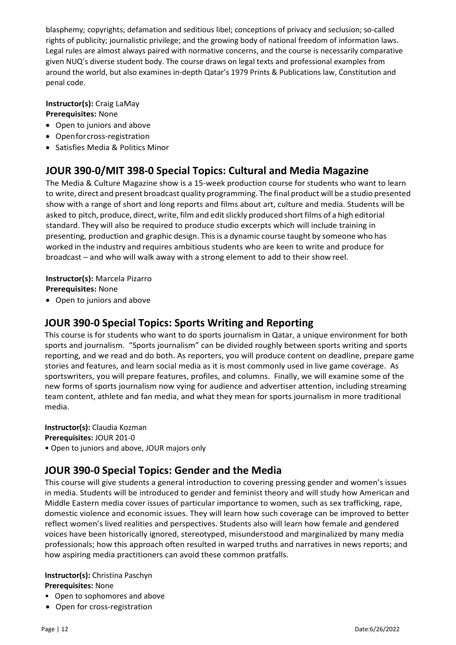blasphemy; copyrights; defamation and seditious libel; conceptions of privacy and seclusion; so-called rights of publicity; journalistic privilege; and the growing body of national freedom of information laws. Legal rules are almost always paired with normative concerns, and the course is necessarily comparative given NUQ's diverse student body. The course draws on legal texts and professional examples from around the world, but also examines in-depth Qatar's 1979 Prints & Publications law, Constitution and penal code.

#### **Instructor(s):** Craig LaMay **Prerequisites:** None

- Open to juniors and above
- Openforcross-registration
- Satisfies Media & Politics Minor

# **JOUR 390‐0/MIT 398-0 Special Topics: Cultural and Media Magazine**

The Media & Culture Magazine show is a 15-week production course for students who want to learn to write, direct and present broadcast quality programming. The final product will be a studio presented show with a range of short and long reports and films about art, culture and media. Students will be asked to pitch, produce, direct, write, film and edit slickly produced short films of a high editorial standard. They will also be required to produce studio excerpts which will include training in presenting, production and graphic design. Thisis a dynamic course taught by someone who has worked in the industry and requires ambitious students who are keen to write and produce for broadcast – and who will walk away with a strong element to add to their show reel.

**Instructor(s):** Marcela Pizarro **Prerequisites:** None

• Open to juniors and above

### **JOUR 390‐0 Special Topics: Sports Writing and Reporting**

This course is for students who want to do sports journalism in Qatar, a unique environment for both sports and journalism. "Sports journalism" can be divided roughly between sports writing and sports reporting, and we read and do both. As reporters, you will produce content on deadline, prepare game stories and features, and learn social media as it is most commonly used in live game coverage. As sportswriters, you will prepare features, profiles, and columns. Finally, we will examine some of the new forms of sports journalism now vying for audience and advertiser attention, including streaming team content, athlete and fan media, and what they mean for sports journalism in more traditional media.

**Instructor(s):** Claudia Kozman **Prerequisites:** JOUR 201-0 • Open to juniors and above, JOUR majors only

### **JOUR 390‐0 Special Topics: Gender and the Media**

This course will give students a general introduction to covering pressing gender and women's issues in media. Students will be introduced to gender and feminist theory and will study how American and Middle Eastern media cover issues of particular importance to women, such as sex trafficking, rape, domestic violence and economic issues. They will learn how such coverage can be improved to better reflect women's lived realities and perspectives. Students also will learn how female and gendered voices have been historically ignored, stereotyped, misunderstood and marginalized by many media professionals; how this approach often resulted in warped truths and narratives in news reports; and how aspiring media practitioners can avoid these common pratfalls.

#### **Instructor(s):** Christina Paschyn **Prerequisites:** None

- Open to sophomores and above
- Open for cross-registration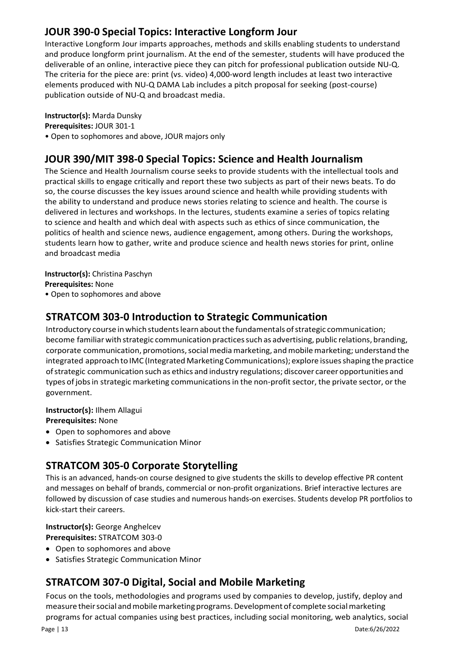# **JOUR 390‐0 Special Topics: Interactive Longform Jour**

Interactive Longform Jour imparts approaches, methods and skills enabling students to understand and produce longform print journalism. At the end of the semester, students will have produced the deliverable of an online, interactive piece they can pitch for professional publication outside NU-Q. The criteria for the piece are: print (vs. video) 4,000-word length includes at least two interactive elements produced with NU-Q DAMA Lab includes a pitch proposal for seeking (post-course) publication outside of NU-Q and broadcast media.

#### **Instructor(s):** Marda Dunsky

**Prerequisites:** JOUR 301-1

• Open to sophomores and above, JOUR majors only

### **JOUR 390/MIT 398‐0 Special Topics: Science and Health Journalism**

The Science and Health Journalism course seeks to provide students with the intellectual tools and practical skills to engage critically and report these two subjects as part of their news beats. To do so, the course discusses the key issues around science and health while providing students with the ability to understand and produce news stories relating to science and health. The course is delivered in lectures and workshops. In the lectures, students examine a series of topics relating to science and health and which deal with aspects such as ethics of since communication, the politics of health and science news, audience engagement, among others. During the workshops, students learn how to gather, write and produce science and health news stories for print, online and broadcast media

**Instructor(s):** Christina Paschyn **Prerequisites:** None

• Open to sophomores and above

# **STRATCOM 303‐0 Introduction to Strategic Communication**

Introductory course in which students learn about the fundamentals of strategic communication; become familiarwith strategic communication practicessuch as advertising, public relations, branding, corporate communication, promotions, social media marketing, and mobile marketing; understand the integrated approach to IMC (Integrated Marketing Communications); explore issues shaping the practice ofstrategic communication such as ethics and industry regulations; discover career opportunities and types of jobs in strategic marketing communications in the non-profit sector, the private sector, or the government.

**Instructor(s):** Ilhem Allagui

**Prerequisites:** None

- Open to sophomores and above
- Satisfies Strategic Communication Minor

# **STRATCOM 305‐0 Corporate Storytelling**

This is an advanced, hands-on course designed to give students the skills to develop effective PR content and messages on behalf of brands, commercial or non-profit organizations. Brief interactive lectures are followed by discussion of case studies and numerous hands-on exercises. Students develop PR portfolios to kick-start their careers.

### **Instructor(s):** George Anghelcev

**Prerequisites:** STRATCOM 303-0

- Open to sophomores and above
- Satisfies Strategic Communication Minor

# **STRATCOM 307‐0 Digital, Social and Mobile Marketing**

Focus on the tools, methodologies and programs used by companies to develop, justify, deploy and measure their social and mobile marketing programs. Development of complete social marketing programs for actual companies using best practices, including social monitoring, web analytics, social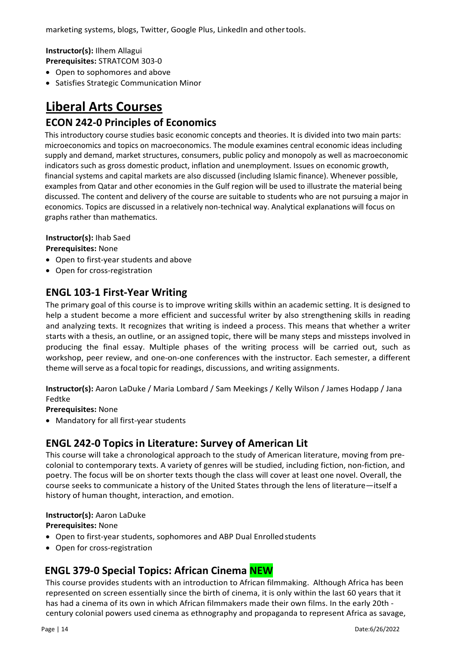**Instructor(s):** Ilhem Allagui **Prerequisites:** STRATCOM 303-0

- Open to sophomores and above
- Satisfies Strategic Communication Minor

# **Liberal Arts Courses**

### **ECON 242‐0 Principles of Economics**

This introductory course studies basic economic concepts and theories. It is divided into two main parts: microeconomics and topics on macroeconomics. The module examines central economic ideas including supply and demand, market structures, consumers, public policy and monopoly as well as macroeconomic indicators such as gross domestic product, inflation and unemployment. Issues on economic growth, financial systems and capital markets are also discussed (including Islamic finance). Whenever possible, examples from Qatar and other economies in the Gulf region will be used to illustrate the material being discussed. The content and delivery of the course are suitable to students who are not pursuing a major in economics. Topics are discussed in a relatively non-technical way. Analytical explanations will focus on graphs rather than mathematics.

#### **Instructor(s):** Ihab Saed

**Prerequisites:** None

- Open to first-year students and above
- Open for cross-registration

### **ENGL 103‐1 First‐Year Writing**

The primary goal of this course is to improve writing skills within an academic setting. It is designed to help a student become a more efficient and successful writer by also strengthening skills in reading and analyzing texts. It recognizes that writing is indeed a process. This means that whether a writer starts with a thesis, an outline, or an assigned topic, there will be many steps and missteps involved in producing the final essay. Multiple phases of the writing process will be carried out, such as workshop, peer review, and one-on-one conferences with the instructor. Each semester, a different theme will serve as a focal topic for readings, discussions, and writing assignments.

**Instructor(s):** Aaron LaDuke / Maria Lombard / Sam Meekings / Kelly Wilson / James Hodapp / Jana Fedtke

**Prerequisites:** None

• Mandatory for all first-year students

### **ENGL 242‐0 Topics in Literature: Survey of American Lit**

This course will take a chronological approach to the study of American literature, moving from precolonial to contemporary texts. A variety of genres will be studied, including fiction, non-fiction, and poetry. The focus will be on shorter texts though the class will cover at least one novel. Overall, the course seeks to communicate a history of the United States through the lens of literature—itself a history of human thought, interaction, and emotion.

#### **Instructor(s):** Aaron LaDuke

**Prerequisites:** None

- Open to first-year students, sophomores and ABP Dual Enrolledstudents
- Open for cross-registration

# **ENGL 379-0 Special Topics: African Cinema NEW**

This course provides students with an introduction to African filmmaking. Although Africa has been represented on screen essentially since the birth of cinema, it is only within the last 60 years that it has had a cinema of its own in which African filmmakers made their own films. In the early 20th century colonial powers used cinema as ethnography and propaganda to represent Africa as savage,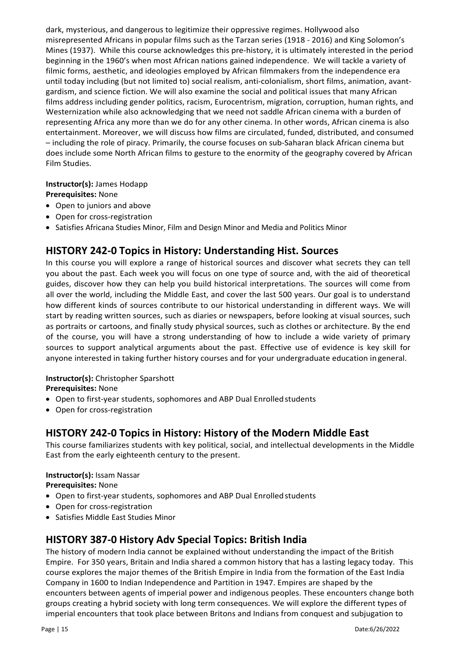dark, mysterious, and dangerous to legitimize their oppressive regimes. Hollywood also misrepresented Africans in popular films such as the Tarzan series (1918 - 2016) and King Solomon's Mines (1937). While this course acknowledges this pre-history, it is ultimately interested in the period beginning in the 1960's when most African nations gained independence. We will tackle a variety of filmic forms, aesthetic, and ideologies employed by African filmmakers from the independence era until today including (but not limited to) social realism, anti-colonialism, short films, animation, avantgardism, and science fiction. We will also examine the social and political issues that many African films address including gender politics, racism, Eurocentrism, migration, corruption, human rights, and Westernization while also acknowledging that we need not saddle African cinema with a burden of representing Africa any more than we do for any other cinema. In other words, African cinema is also entertainment. Moreover, we will discuss how films are circulated, funded, distributed, and consumed – including the role of piracy. Primarily, the course focuses on sub-Saharan black African cinema but does include some North African films to gesture to the enormity of the geography covered by African Film Studies.

#### **Instructor(s):** James Hodapp

#### **Prerequisites:** None

- Open to juniors and above
- Open for cross-registration
- Satisfies Africana Studies Minor, Film and Design Minor and Media and Politics Minor

# **HISTORY 242‐0 Topics in History: Understanding Hist. Sources**

In this course you will explore a range of historical sources and discover what secrets they can tell you about the past. Each week you will focus on one type of source and, with the aid of theoretical guides, discover how they can help you build historical interpretations. The sources will come from all over the world, including the Middle East, and cover the last 500 years. Our goal is to understand how different kinds of sources contribute to our historical understanding in different ways. We will start by reading written sources, such as diaries or newspapers, before looking at visual sources, such as portraits or cartoons, and finally study physical sources, such as clothes or architecture. By the end of the course, you will have a strong understanding of how to include a wide variety of primary sources to support analytical arguments about the past. Effective use of evidence is key skill for anyone interested in taking further history courses and for your undergraduate education ingeneral.

#### **Instructor(s):** Christopher Sparshott

**Prerequisites:** None

- Open to first-year students, sophomores and ABP Dual Enrolledstudents
- Open for cross-registration

# **HISTORY 242-0 Topics in History: History of the Modern Middle East**

This course familiarizes students with key political, social, and intellectual developments in the Middle East from the early eighteenth century to the present.

### **Instructor(s):** Issam Nassar

**Prerequisites:** None

- Open to first-year students, sophomores and ABP Dual Enrolledstudents
- Open for cross-registration
- Satisfies Middle East Studies Minor

# **HISTORY 387‐0 History Adv Special Topics: British India**

The history of modern India cannot be explained without understanding the impact of the British Empire. For 350 years, Britain and India shared a common history that has a lasting legacy today. This course explores the major themes of the British Empire in India from the formation of the East India Company in 1600 to Indian Independence and Partition in 1947. Empires are shaped by the encounters between agents of imperial power and indigenous peoples. These encounters change both groups creating a hybrid society with long term consequences. We will explore the different types of imperial encounters that took place between Britons and Indians from conquest and subjugation to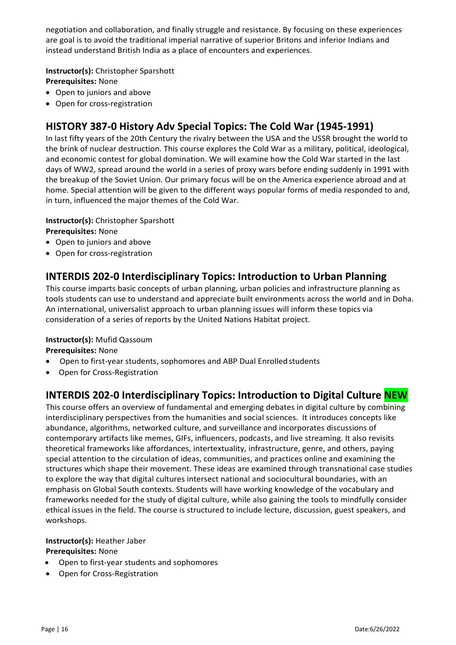negotiation and collaboration, and finally struggle and resistance. By focusing on these experiences are goal is to avoid the traditional imperial narrative of superior Britons and inferior Indians and instead understand British India as a place of encounters and experiences.

#### **Instructor(s):** Christopher Sparshott

**Prerequisites:** None

- Open to juniors and above
- Open for cross-registration

# **HISTORY 387‐0 History Adv Special Topics: The Cold War (1945-1991)**

In last fifty years of the 20th Century the rivalry between the USA and the USSR brought the world to the brink of nuclear destruction. This course explores the Cold War as a military, political, ideological, and economic contest for global domination. We will examine how the Cold War started in the last days of WW2, spread around the world in a series of proxy wars before ending suddenly in 1991 with the breakup of the Soviet Union. Our primary focus will be on the America experience abroad and at home. Special attention will be given to the different ways popular forms of media responded to and, in turn, influenced the major themes of the Cold War.

#### **Instructor(s):** Christopher Sparshott

**Prerequisites:** None

- Open to juniors and above
- Open for cross-registration

### **INTERDIS 202‐0 Interdisciplinary Topics: Introduction to Urban Planning**

This course imparts basic concepts of urban planning, urban policies and infrastructure planning as tools students can use to understand and appreciate built environments across the world and in Doha. An international, universalist approach to urban planning issues will inform these topics via consideration of a series of reports by the United Nations Habitat project.

#### **Instructor(s):** Mufid Qassoum

**Prerequisites:** None

- Open to first-year students, sophomores and ABP Dual Enrolled students
- Open for Cross-Registration

# **INTERDIS 202‐0 Interdisciplinary Topics: Introduction to Digital Culture NEW**

This course offers an overview of fundamental and emerging debates in digital culture by combining interdisciplinary perspectives from the humanities and social sciences. It introduces concepts like abundance, algorithms, networked culture, and surveillance and incorporates discussions of contemporary artifacts like memes, GIFs, influencers, podcasts, and live streaming. It also revisits theoretical frameworks like affordances, intertextuality, infrastructure, genre, and others, paying special attention to the circulation of ideas, communities, and practices online and examining the structures which shape their movement. These ideas are examined through transnational case studies to explore the way that digital cultures intersect national and sociocultural boundaries, with an emphasis on Global South contexts. Students will have working knowledge of the vocabulary and frameworks needed for the study of digital culture, while also gaining the tools to mindfully consider ethical issues in the field. The course is structured to include lecture, discussion, guest speakers, and workshops.

# **Instructor(s):** Heather Jaber

**Prerequisites:** None

- Open to first-year students and sophomores
- Open for Cross-Registration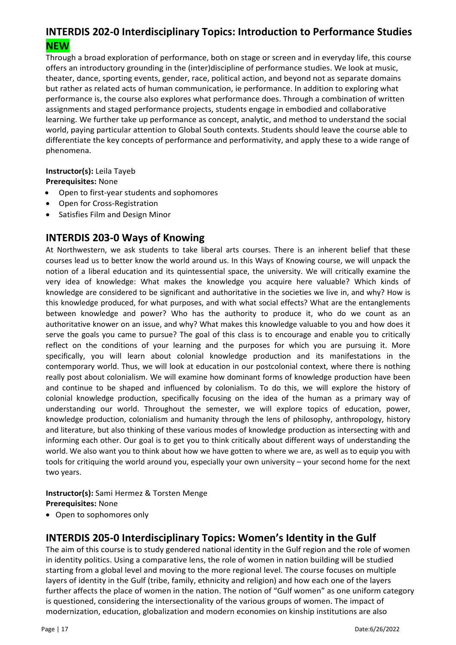# **INTERDIS 202‐0 Interdisciplinary Topics: Introduction to Performance Studies NEW**

Through a broad exploration of performance, both on stage or screen and in everyday life, this course offers an introductory grounding in the (inter)discipline of performance studies. We look at music, theater, dance, sporting events, gender, race, political action, and beyond not as separate domains but rather as related acts of human communication, ie performance. In addition to exploring what performance is, the course also explores what performance does. Through a combination of written assignments and staged performance projects, students engage in embodied and collaborative learning. We further take up performance as concept, analytic, and method to understand the social world, paying particular attention to Global South contexts. Students should leave the course able to differentiate the key concepts of performance and performativity, and apply these to a wide range of phenomena.

**Instructor(s):** Leila Tayeb

**Prerequisites:** None

- Open to first-year students and sophomores
- Open for Cross-Registration
- Satisfies Film and Design Minor

### **INTERDIS 203‐0 Ways of Knowing**

At Northwestern, we ask students to take liberal arts courses. There is an inherent belief that these courses lead us to better know the world around us. In this Ways of Knowing course, we will unpack the notion of a liberal education and its quintessential space, the university. We will critically examine the very idea of knowledge: What makes the knowledge you acquire here valuable? Which kinds of knowledge are considered to be significant and authoritative in the societies we live in, and why? How is this knowledge produced, for what purposes, and with what social effects? What are the entanglements between knowledge and power? Who has the authority to produce it, who do we count as an authoritative knower on an issue, and why? What makes this knowledge valuable to you and how does it serve the goals you came to pursue? The goal of this class is to encourage and enable you to critically reflect on the conditions of your learning and the purposes for which you are pursuing it. More specifically, you will learn about colonial knowledge production and its manifestations in the contemporary world. Thus, we will look at education in our postcolonial context, where there is nothing really post about colonialism. We will examine how dominant forms of knowledge production have been and continue to be shaped and influenced by colonialism. To do this, we will explore the history of colonial knowledge production, specifically focusing on the idea of the human as a primary way of understanding our world. Throughout the semester, we will explore topics of education, power, knowledge production, colonialism and humanity through the lens of philosophy, anthropology, history and literature, but also thinking of these various modes of knowledge production as intersecting with and informing each other. Our goal is to get you to think critically about different ways of understanding the world. We also want you to think about how we have gotten to where we are, as well as to equip you with tools for critiquing the world around you, especially your own university – your second home for the next two years.

#### **Instructor(s):** Sami Hermez & Torsten Menge **Prerequisites:** None

• Open to sophomores only

# **INTERDIS 205-0 Interdisciplinary Topics: Women's Identity in the Gulf**

The aim of this course is to study gendered national identity in the Gulf region and the role of women in identity politics. Using a comparative lens, the role of women in nation building will be studied starting from a global level and moving to the more regional level. The course focuses on multiple layers of identity in the Gulf (tribe, family, ethnicity and religion) and how each one of the layers further affects the place of women in the nation. The notion of "Gulf women" as one uniform category is questioned, considering the intersectionality of the various groups of women. The impact of modernization, education, globalization and modern economies on kinship institutions are also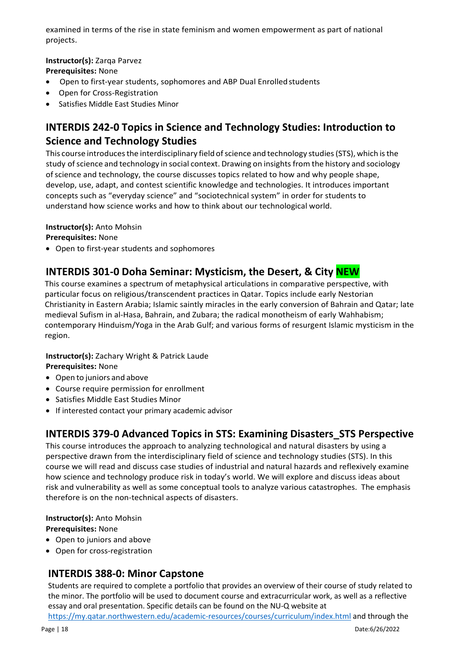examined in terms of the rise in state feminism and women empowerment as part of national projects.

**Instructor(s):** Zarqa Parvez

**Prerequisites:** None

- Open to first-year students, sophomores and ABP Dual Enrolled students
- Open for Cross-Registration
- Satisfies Middle East Studies Minor

# **INTERDIS 242‐0 Topics in Science and Technology Studies: Introduction to Science and Technology Studies**

This course introduces the interdisciplinary field of science and technology studies (STS), which is the study of science and technology in social context. Drawing on insights from the history and sociology of science and technology, the course discusses topics related to how and why people shape, develop, use, adapt, and contest scientific knowledge and technologies. It introduces important concepts such as "everyday science" and "sociotechnical system" in order for students to understand how science works and how to think about our technological world.

#### **Instructor(s):** Anto Mohsin

**Prerequisites:** None

• Open to first-year students and sophomores

# **INTERDIS 301‐0 Doha Seminar: Mysticism, the Desert, & City NEW**

This course examines a spectrum of metaphysical articulations in comparative perspective, with particular focus on religious/transcendent practices in Qatar. Topics include early Nestorian Christianity in Eastern Arabia; Islamic saintly miracles in the early conversion of Bahrain and Qatar; late medieval Sufism in al-Hasa, Bahrain, and Zubara; the radical monotheism of early Wahhabism; contemporary Hinduism/Yoga in the Arab Gulf; and various forms of resurgent Islamic mysticism in the region.

#### **Instructor(s):** Zachary Wright & Patrick Laude

**Prerequisites:** None

- Open to juniors and above
- Course require permission for enrollment
- Satisfies Middle East Studies Minor
- If interested contact your primary academic advisor

### **INTERDIS 379-0 Advanced Topics in STS: Examining Disasters\_STS Perspective**

This course introduces the approach to analyzing technological and natural disasters by using a perspective drawn from the interdisciplinary field of science and technology studies (STS). In this course we will read and discuss case studies of industrial and natural hazards and reflexively examine how science and technology produce risk in today's world. We will explore and discuss ideas about risk and vulnerability as well as some conceptual tools to analyze various catastrophes. The emphasis therefore is on the non-technical aspects of disasters.

**Instructor(s):** Anto Mohsin

**Prerequisites:** None

- Open to juniors and above
- Open for cross-registration

### **INTERDIS 388-0: Minor Capstone**

Students are required to complete a portfolio that provides an overview of their course of study related to the minor. The portfolio will be used to document course and extracurricular work, as well as a reflective essay and oral presentation. Specific details can be found on the NU-Q website at

[https://my.qatar.northwestern.edu/academic-resources/courses/curriculum/index.html a](https://my.qatar.northwestern.edu/academic-resources/courses/curriculum/index.html)nd through the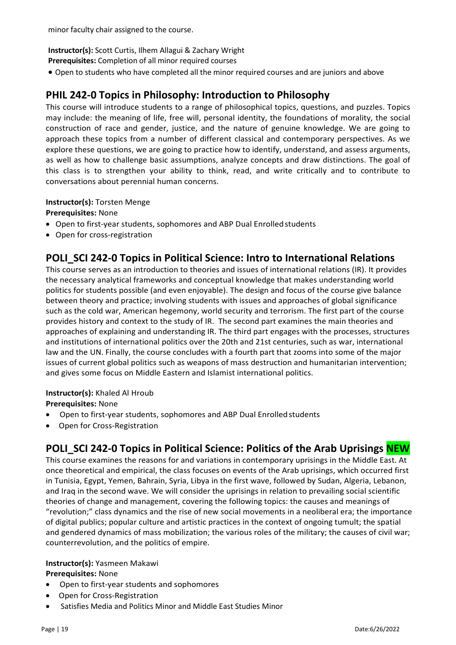minor faculty chair assigned to the course.

#### **Instructor(s):** Scott Curtis, Ilhem Allagui & Zachary Wright

**Prerequisites:** Completion of all minor required courses

• Open to students who have completed all the minor required courses and are juniors and above

### **PHIL 242‐0 Topics in Philosophy: Introduction to Philosophy**

This course will introduce students to a range of philosophical topics, questions, and puzzles. Topics may include: the meaning of life, free will, personal identity, the foundations of morality, the social construction of race and gender, justice, and the nature of genuine knowledge. We are going to approach these topics from a number of different classical and contemporary perspectives. As we explore these questions, we are going to practice how to identify, understand, and assess arguments, as well as how to challenge basic assumptions, analyze concepts and draw distinctions. The goal of this class is to strengthen your ability to think, read, and write critically and to contribute to conversations about perennial human concerns.

#### **Instructor(s):** Torsten Menge

#### **Prerequisites:** None

- Open to first-year students, sophomores and ABP Dual Enrolledstudents
- Open for cross-registration

### **POLI\_SCI 242‐0 Topics in Political Science: Intro to International Relations**

This course serves as an introduction to theories and issues of international relations (IR). It provides the necessary analytical frameworks and conceptual knowledge that makes understanding world politics for students possible (and even enjoyable). The design and focus of the course give balance between theory and practice; involving students with issues and approaches of global significance such as the cold war, American hegemony, world security and terrorism. The first part of the course provides history and context to the study of IR. The second part examines the main theories and approaches of explaining and understanding IR. The third part engages with the processes, structures and institutions of international politics over the 20th and 21st centuries, such as war, international law and the UN. Finally, the course concludes with a fourth part that zooms into some of the major issues of current global politics such as weapons of mass destruction and humanitarian intervention; and gives some focus on Middle Eastern and Islamist international politics.

#### **Instructor(s):** Khaled Al Hroub

**Prerequisites:** None

- Open to first-year students, sophomores and ABP Dual Enrolled students
- Open for Cross-Registration

# **POLI\_SCI 242‐0 Topics in Political Science: Politics of the Arab Uprisings NEW**

This course examines the reasons for and variations in contemporary uprisings in the Middle East. At once theoretical and empirical, the class focuses on events of the Arab uprisings, which occurred first in Tunisia, Egypt, Yemen, Bahrain, Syria, Libya in the first wave, followed by Sudan, Algeria, Lebanon, and Iraq in the second wave. We will consider the uprisings in relation to prevailing social scientific theories of change and management, covering the following topics: the causes and meanings of "revolution;" class dynamics and the rise of new social movements in a neoliberal era; the importance of digital publics; popular culture and artistic practices in the context of ongoing tumult; the spatial and gendered dynamics of mass mobilization; the various roles of the military; the causes of civil war; counterrevolution, and the politics of empire.

#### **Instructor(s):** Yasmeen Makawi

**Prerequisites:** None

- Open to first-year students and sophomores
- Open for Cross-Registration
- Satisfies Media and Politics Minor and Middle East Studies Minor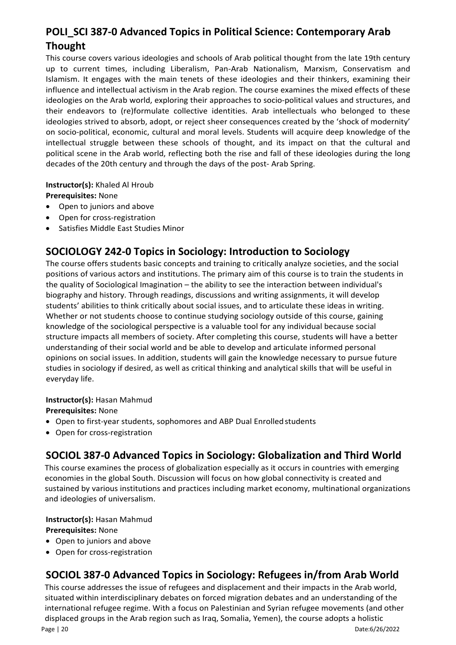# **POLI\_SCI 387‐0 Advanced Topics in Political Science: Contemporary Arab Thought**

This course covers various ideologies and schools of Arab political thought from the late 19th century up to current times, including Liberalism, Pan-Arab Nationalism, Marxism, Conservatism and Islamism. It engages with the main tenets of these ideologies and their thinkers, examining their influence and intellectual activism in the Arab region. The course examines the mixed effects of these ideologies on the Arab world, exploring their approaches to socio-political values and structures, and their endeavors to (re)formulate collective identities. Arab intellectuals who belonged to these ideologies strived to absorb, adopt, or reject sheer consequences created by the 'shock of modernity' on socio-political, economic, cultural and moral levels. Students will acquire deep knowledge of the intellectual struggle between these schools of thought, and its impact on that the cultural and political scene in the Arab world, reflecting both the rise and fall of these ideologies during the long decades of the 20th century and through the days of the post- Arab Spring.

**Instructor(s):** Khaled Al Hroub **Prerequisites:** None

- Open to juniors and above
- Open for cross-registration
- Satisfies Middle East Studies Minor

# **SOCIOLOGY 242‐0 Topics in Sociology: Introduction to Sociology**

The course offers students basic concepts and training to critically analyze societies, and the social positions of various actors and institutions. The primary aim of this course is to train the students in the quality of Sociological Imagination – the ability to see the interaction between individual's biography and history. Through readings, discussions and writing assignments, it will develop students' abilities to think critically about social issues, and to articulate these ideas in writing. Whether or not students choose to continue studying sociology outside of this course, gaining knowledge of the sociological perspective is a valuable tool for any individual because social structure impacts all members of society. After completing this course, students will have a better understanding of their social world and be able to develop and articulate informed personal opinions on social issues. In addition, students will gain the knowledge necessary to pursue future studies in sociology if desired, as well as critical thinking and analytical skills that will be useful in everyday life.

#### **Instructor(s):** Hasan Mahmud

#### **Prerequisites:** None

- Open to first-year students, sophomores and ABP Dual Enrolled students
- Open for cross-registration

# **SOCIOL 387-0 Advanced Topics in Sociology: Globalization and Third World**

This course examines the process of globalization especially as it occurs in countries with emerging economies in the global South. Discussion will focus on how global connectivity is created and sustained by various institutions and practices including market economy, multinational organizations and ideologies of universalism.

**Instructor(s):** Hasan Mahmud

#### **Prerequisites:** None

- Open to juniors and above
- Open for cross-registration

# **SOCIOL 387-0 Advanced Topics in Sociology: Refugees in/from Arab World**

This course addresses the issue of refugees and displacement and their impacts in the Arab world, situated within interdisciplinary debates on forced migration debates and an understanding of the international refugee regime. With a focus on Palestinian and Syrian refugee movements (and other displaced groups in the Arab region such as Iraq, Somalia, Yemen), the course adopts a holistic